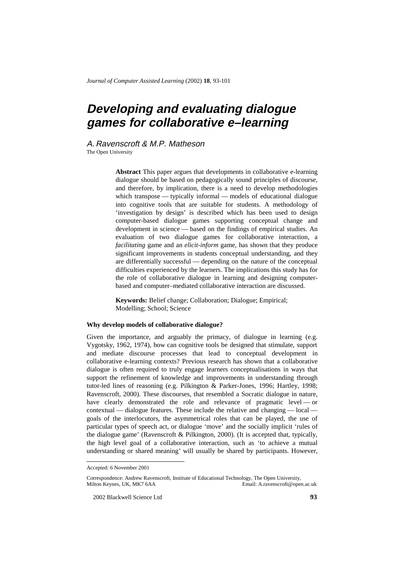*Journal of Computer Assisted Learning* (2002) **18**, 93-101

# **Developing and evaluating dialogue games for collaborative e–learning**

A. Ravenscroft & M.P. Matheson The Open University

> **Abstract** This paper argues that developments in collaborative e-learning dialogue should be based on pedagogically sound principles of discourse, and therefore, by implication, there is a need to develop methodologies which transpose — typically informal — models of educational dialogue into cognitive tools that are suitable for students. A methodology of 'investigation by design' is described which has been used to design computer-based dialogue games supporting conceptual change and development in science — based on the findings of empirical studies. An evaluation of two dialogue games for collaborative interaction, a *facilitating* game and an *elicit-inform* game, has shown that they produce significant improvements in students conceptual understanding, and they are differentially successful — depending on the nature of the conceptual difficulties experienced by the learners. The implications this study has for the role of collaborative dialogue in learning and designing computerbased and computer–mediated collaborative interaction are discussed.

**Keywords:** Belief change; Collaboration; Dialogue; Empirical; Modelling; School; Science

## **Why develop models of collaborative dialogue?**

Given the importance, and arguably the primacy, of dialogue in learning (e.g. Vygotsky, 1962, 1974), how can cognitive tools be designed that stimulate, support and mediate discourse processes that lead to conceptual development in collaborative e-learning contexts? Previous research has shown that a collaborative dialogue is often required to truly engage learners conceptualisations in ways that support the refinement of knowledge and improvements in understanding through tutor-led lines of reasoning (e.g. Pilkington & Parker-Jones, 1996; Hartley, 1998; Ravenscroft, 2000). These discourses, that resembled a Socratic dialogue in nature, have clearly demonstrated the role and relevance of pragmatic level — or contextual — dialogue features. These include the relative and changing — local goals of the interlocutors, the asymmetrical roles that can be played, the use of particular types of speech act, or dialogue 'move' and the socially implicit 'rules of the dialogue game' (Ravenscroft & Pilkington, 2000). (It is accepted that, typically, the high level goal of a collaborative interaction, such as 'to achieve a mutual understanding or shared meaning' will usually be shared by participants. However,

l

Accepted: 6 November 2001

Correspondence: Andrew Ravenscroft, Institute of Educational Technology, The Open University, Email: A.ravenscroft@open.ac.uk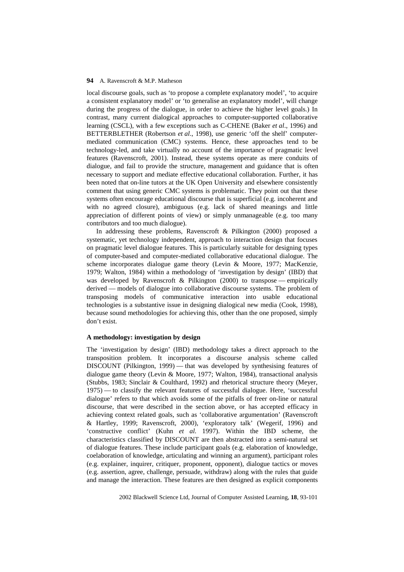local discourse goals, such as 'to propose a complete explanatory model', 'to acquire a consistent explanatory model' or 'to generalise an explanatory model', will change during the progress of the dialogue, in order to achieve the higher level goals.) In contrast, many current dialogical approaches to computer-supported collaborative learning (CSCL), with a few exceptions such as C-CHENE (Baker *et al*., 1996) and BETTERBLETHER (Robertson *et al*., 1998), use generic 'off the shelf' computermediated communication (CMC) systems. Hence, these approaches tend to be technology-led, and take virtually no account of the importance of pragmatic level features (Ravenscroft, 2001). Instead, these systems operate as mere conduits of dialogue, and fail to provide the structure, management and guidance that is often necessary to support and mediate effective educational collaboration. Further, it has been noted that on-line tutors at the UK Open University and elsewhere consistently comment that using generic CMC systems is problematic. They point out that these systems often encourage educational discourse that is superficial (e.g. incoherent and with no agreed closure), ambiguous (e.g. lack of shared meanings and little appreciation of different points of view) or simply unmanageable (e.g. too many contributors and too much dialogue).

In addressing these problems, Ravenscroft & Pilkington (2000) proposed a systematic, yet technology independent, approach to interaction design that focuses on pragmatic level dialogue features. This is particularly suitable for designing types of computer-based and computer-mediated collaborative educational dialogue. The scheme incorporates dialogue game theory (Levin & Moore, 1977; MacKenzie, 1979; Walton, 1984) within a methodology of 'investigation by design' (IBD) that was developed by Ravenscroft & Pilkington (2000) to transpose — empirically derived — models of dialogue into collaborative discourse systems. The problem of transposing models of communicative interaction into usable educational technologies is a substantive issue in designing dialogical new media (Cook, 1998), because sound methodologies for achieving this, other than the one proposed, simply don't exist.

# **A methodology: investigation by design**

The 'investigation by design' (IBD) methodology takes a direct approach to the transposition problem. It incorporates a discourse analysis scheme called DISCOUNT (Pilkington, 1999) — that was developed by synthesising features of dialogue game theory (Levin & Moore, 1977; Walton, 1984), transactional analysis (Stubbs, 1983; Sinclair & Coulthard, 1992) and rhetorical structure theory (Meyer, 1975) — to classify the relevant features of successful dialogue. Here, 'successful dialogue' refers to that which avoids some of the pitfalls of freer on-line or natural discourse, that were described in the section above, or has accepted efficacy in achieving context related goals, such as 'collaborative argumentation' (Ravenscroft & Hartley, 1999; Ravenscroft, 2000), 'exploratory talk' (Wegerif, 1996) and 'constructive conflict' (Kuhn *et al.* 1997). Within the IBD scheme, the characteristics classified by DISCOUNT are then abstracted into a semi-natural set of dialogue features. These include participant goals (e.g. elaboration of knowledge, coelaboration of knowledge, articulating and winning an argument), participant roles (e.g. explainer, inquirer, critiquer, proponent, opponent), dialogue tactics or moves (e.g. assertion, agree, challenge, persuade, withdraw) along with the rules that guide and manage the interaction. These features are then designed as explicit components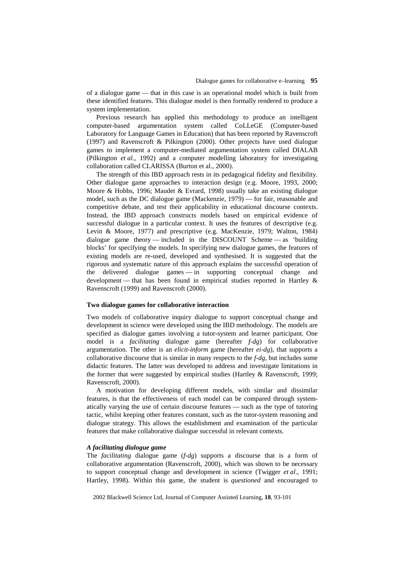of a dialogue game — that in this case is an operational model which is built from these identified features. This dialogue model is then formally rendered to produce a system implementation.

Previous research has applied this methodology to produce an intelligent computer-based argumentation system called CoLLeGE (Computer-based Laboratory for Language Games in Education) that has been reported by Ravenscroft (1997) and Ravenscroft & Pilkington (2000). Other projects have used dialogue games to implement a computer-mediated argumentation system called DIALAB (Pilkington *et al*., 1992) and a computer modelling laboratory for investigating collaboration called CLARISSA (Burton et al., 2000).

The strength of this IBD approach rests in its pedagogical fidelity and flexibility. Other dialogue game approaches to interaction design (e.g. Moore, 1993, 2000; Moore & Hobbs, 1996; Maudet & Evrard, 1998) usually take an existing dialogue model, such as the DC dialogue game (Mackenzie, 1979) — for fair, reasonable and competitive debate, and test their applicability in educational discourse contexts. Instead, the IBD approach constructs models based on empirical evidence of successful dialogue in a particular context. It uses the features of descriptive (e.g. Levin & Moore, 1977) and prescriptive (e.g. MacKenzie, 1979; Walton, 1984) dialogue game theory — included in the DISCOUNT Scheme — as 'building blocks' for specifying the models. In specifying new dialogue games, the features of existing models are re-used, developed and synthesised. It is suggested that the rigorous and systematic nature of this approach explains the successful operation of the delivered dialogue games — in supporting conceptual change and development — that has been found in empirical studies reported in Hartley & Ravenscroft (1999) and Ravenscroft (2000).

## **Two dialogue games for collaborative interaction**

Two models of collaborative inquiry dialogue to support conceptual change and development in science were developed using the IBD methodology. The models are specified as dialogue games involving a tutor-system and learner participant. One model is a *facilitating* dialogue game (hereafter *f-dg*) for collaborative argumentation. The other is an *elicit-inform* game (hereafter *ei-dg*), that supports a collaborative discourse that is similar in many respects to the *f-dg*, but includes some didactic features. The latter was developed to address and investigate limitations in the former that were suggested by empirical studies (Hartley & Ravenscroft, 1999; Ravenscroft, 2000).

A motivation for developing different models, with similar and dissimilar features, is that the effectiveness of each model can be compared through systematically varying the use of certain discourse features — such as the type of tutoring tactic, whilst keeping other features constant, such as the tutor-system reasoning and dialogue strategy. This allows the establishment and examination of the particular features that make collaborative dialogue successful in relevant contexts.

#### *A facilitating dialogue game*

The *facilitating* dialogue game (*f-dg*) supports a discourse that is a form of collaborative argumentation (Ravenscroft, 2000), which was shown to be necessary to support conceptual change and development in science (Twigger *et al*., 1991; Hartley, 1998). Within this game, the student is *questioned* and encouraged to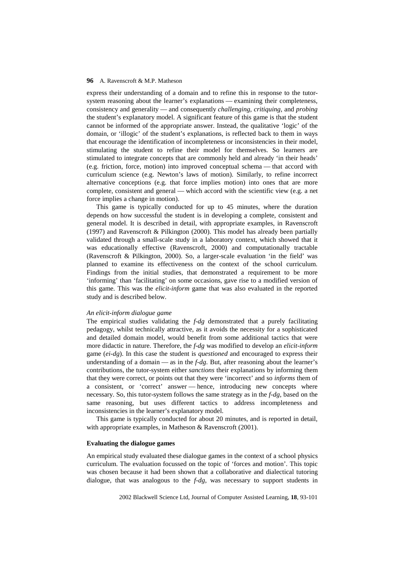express their understanding of a domain and to refine this in response to the tutorsystem reasoning about the learner's explanations — examining their completeness, consistency and generality — and consequently *challenging*, *critiquing*, and *probing* the student's explanatory model. A significant feature of this game is that the student cannot be informed of the appropriate answer. Instead, the qualitative 'logic' of the domain, or 'illogic' of the student's explanations, is reflected back to them in ways that encourage the identification of incompleteness or inconsistencies in their model, stimulating the student to refine their model for themselves. So learners are stimulated to integrate concepts that are commonly held and already 'in their heads' (e.g. friction, force, motion) into improved conceptual schema — that accord with curriculum science (e.g. Newton's laws of motion). Similarly, to refine incorrect alternative conceptions (e.g. that force implies motion) into ones that are more complete, consistent and general — which accord with the scientific view (e.g. a net force implies a change in motion).

This game is typically conducted for up to 45 minutes, where the duration depends on how successful the student is in developing a complete, consistent and general model. It is described in detail, with appropriate examples, in Ravenscroft (1997) and Ravenscroft & Pilkington (2000). This model has already been partially validated through a small-scale study in a laboratory context, which showed that it was educationally effective (Ravenscroft, 2000) and computationally tractable (Ravenscroft & Pilkington, 2000). So, a larger-scale evaluation 'in the field' was planned to examine its effectiveness on the context of the school curriculum. Findings from the initial studies, that demonstrated a requirement to be more 'informing' than 'facilitating' on some occasions, gave rise to a modified version of this game. This was the *elicit-inform* game that was also evaluated in the reported study and is described below.

## *An elicit-inform dialogue game*

The empirical studies validating the *f-dg* demonstrated that a purely facilitating pedagogy, whilst technically attractive, as it avoids the necessity for a sophisticated and detailed domain model, would benefit from some additional tactics that were more didactic in nature. Therefore, the *f-dg* was modified to develop an *elicit-inform* game (*ei-dg*). In this case the student is *questioned* and encouraged to express their understanding of a domain — as in the *f-dg*. But, after reasoning about the learner's contributions, the tutor-system either *sanctions* their explanations by informing them that they were correct, or points out that they were 'incorrect' and so *informs* them of a consistent, or 'correct' answer — hence, introducing new concepts where necessary. So, this tutor-system follows the same strategy as in the *f-dg*, based on the same reasoning, but uses different tactics to address incompleteness and inconsistencies in the learner's explanatory model.

This game is typically conducted for about 20 minutes, and is reported in detail, with appropriate examples, in Matheson & Ravenscroft (2001).

## **Evaluating the dialogue games**

An empirical study evaluated these dialogue games in the context of a school physics curriculum. The evaluation focussed on the topic of 'forces and motion'. This topic was chosen because it had been shown that a collaborative and dialectical tutoring dialogue, that was analogous to the *f-dg*, was necessary to support students in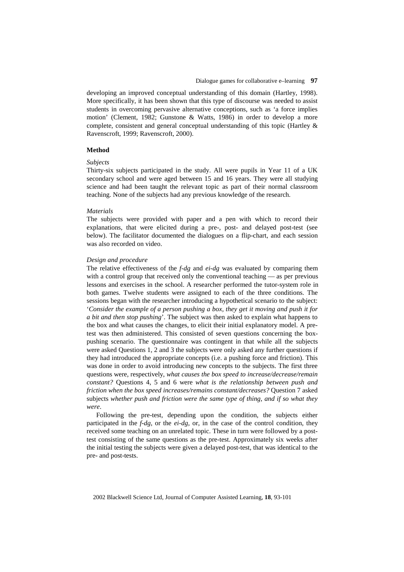developing an improved conceptual understanding of this domain (Hartley, 1998). More specifically, it has been shown that this type of discourse was needed to assist students in overcoming pervasive alternative conceptions, such as 'a force implies motion' (Clement, 1982; Gunstone & Watts, 1986) in order to develop a more complete, consistent and general conceptual understanding of this topic (Hartley & Ravenscroft, 1999; Ravenscroft, 2000).

#### **Method**

## *Subjects*

Thirty-six subjects participated in the study. All were pupils in Year 11 of a UK secondary school and were aged between 15 and 16 years. They were all studying science and had been taught the relevant topic as part of their normal classroom teaching. None of the subjects had any previous knowledge of the research.

#### *Materials*

The subjects were provided with paper and a pen with which to record their explanations, that were elicited during a pre-, post- and delayed post-test (see below). The facilitator documented the dialogues on a flip-chart, and each session was also recorded on video.

#### *Design and procedure*

The relative effectiveness of the *f-dg* and *ei-dg* was evaluated by comparing them with a control group that received only the conventional teaching — as per previous lessons and exercises in the school. A researcher performed the tutor-system role in both games. Twelve students were assigned to each of the three conditions. The sessions began with the researcher introducing a hypothetical scenario to the subject: '*Consider the example of a person pushing a box, they get it moving and push it for a bit and then stop pushing*'. The subject was then asked to explain what happens to the box and what causes the changes, to elicit their initial explanatory model. A pretest was then administered. This consisted of seven questions concerning the boxpushing scenario. The questionnaire was contingent in that while all the subjects were asked Questions 1, 2 and 3 the subjects were only asked any further questions if they had introduced the appropriate concepts (i.e. a pushing force and friction). This was done in order to avoid introducing new concepts to the subjects. The first three questions were, respectively, *what causes the box speed to increase/decrease/remain constant?* Questions 4, 5 and 6 were *what is the relationship between push and friction when the box speed increases/remains constant/decreases?* Question 7 asked subjects *whether push and friction were the same type of thing, and if so what they were*.

Following the pre-test, depending upon the condition, the subjects either participated in the *f-dg*, or the *ei-dg*, or, in the case of the control condition, they received some teaching on an unrelated topic. These in turn were followed by a posttest consisting of the same questions as the pre-test. Approximately six weeks after the initial testing the subjects were given a delayed post-test, that was identical to the pre- and post-tests.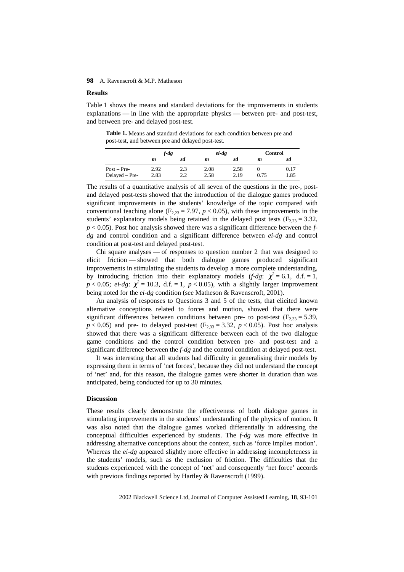## **Results**

Table 1 shows the means and standard deviations for the improvements in students explanations — in line with the appropriate physics — between pre- and post-test, and between pre- and delayed post-test.

**Table 1.** Means and standard deviations for each condition between pre and post-test, and between pre and delayed post-test.

|                | f-dg |     | $ei$ -dg |      | Control |      |
|----------------|------|-----|----------|------|---------|------|
|                | m    | sd  | m        | sd   | m       | sd   |
| $Post - Pre-$  | 2.92 | 2.3 | 2.08     | 2.58 |         | 0.17 |
| Delayed - Pre- | 2.83 | 2.2 | 2.58     | 2.19 | 0.75    | 1.85 |

The results of a quantitative analysis of all seven of the questions in the pre-, postand delayed post-tests showed that the introduction of the dialogue games produced significant improvements in the students' knowledge of the topic compared with conventional teaching alone  $(F_{2,23} = 7.97, p < 0.05)$ , with these improvements in the students' explanatory models being retained in the delayed post tests ( $F_{2,23} = 3.32$ , *p* < 0.05). Post hoc analysis showed there was a significant difference between the *fdg* and control condition and a significant difference between *ei-dg* and control condition at post-test and delayed post-test.

Chi square analyses — of responses to question number 2 that was designed to elicit friction — showed that both dialogue games produced significant improvements in stimulating the students to develop a more complete understanding, by introducing friction into their explanatory models  $(f-dg: \chi^2 = 6.1, d.f. = 1,$  $p < 0.05$ ; *ei-dg*:  $\chi^2 = 10.3$ , d.f. = 1,  $p < 0.05$ ), with a slightly larger improvement being noted for the *ei-dg* condition (see Matheson & Ravenscroft, 2001).

An analysis of responses to Questions 3 and 5 of the tests, that elicited known alternative conceptions related to forces and motion, showed that there were significant differences between conditions between pre- to post-test ( $F_{2,33} = 5.39$ ,  $p < 0.05$ ) and pre- to delayed post-test (F<sub>2,33</sub> = 3.32,  $p < 0.05$ ). Post hoc analysis showed that there was a significant difference between each of the two dialogue game conditions and the control condition between pre- and post-test and a significant difference between the *f-dg* and the control condition at delayed post-test.

It was interesting that all students had difficulty in generalising their models by expressing them in terms of 'net forces', because they did not understand the concept of 'net' and, for this reason, the dialogue games were shorter in duration than was anticipated, being conducted for up to 30 minutes.

# **Discussion**

These results clearly demonstrate the effectiveness of both dialogue games in stimulating improvements in the students' understanding of the physics of motion. It was also noted that the dialogue games worked differentially in addressing the conceptual difficulties experienced by students. The *f-dg* was more effective in addressing alternative conceptions about the context, such as 'force implies motion'. Whereas the *ei-dg* appeared slightly more effective in addressing incompleteness in the students' models, such as the exclusion of friction. The difficulties that the students experienced with the concept of 'net' and consequently 'net force' accords with previous findings reported by Hartley & Ravenscroft (1999).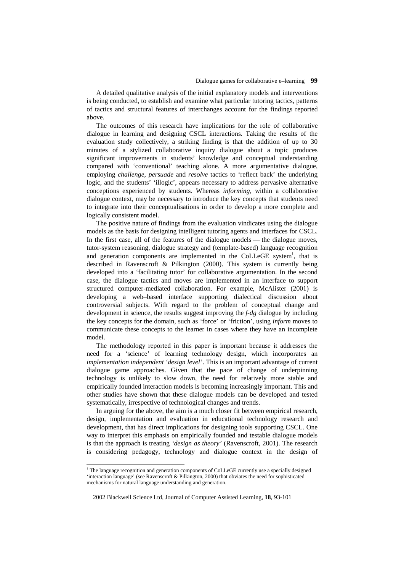A detailed qualitative analysis of the initial explanatory models and interventions is being conducted, to establish and examine what particular tutoring tactics, patterns of tactics and structural features of interchanges account for the findings reported above.

The outcomes of this research have implications for the role of collaborative dialogue in learning and designing CSCL interactions. Taking the results of the evaluation study collectively, a striking finding is that the addition of up to 30 minutes of a stylized collaborative inquiry dialogue about a topic produces significant improvements in students' knowledge and conceptual understanding compared with 'conventional' teaching alone. A more argumentative dialogue, employing *challenge*, *persuade* and *resolve* tactics to 'reflect back' the underlying logic, and the students' 'illogic', appears necessary to address pervasive alternative conceptions experienced by students. Whereas *informing*, within a collaborative dialogue context, may be necessary to introduce the key concepts that students need to integrate into their conceptualisations in order to develop a more complete and logically consistent model.

The positive nature of findings from the evaluation vindicates using the dialogue models as the basis for designing intelligent tutoring agents and interfaces for CSCL. In the first case, all of the features of the dialogue models — the dialogue moves, tutor-system reasoning, dialogue strategy and (template-based) language recognition and generation components are implemented in the CoLLeGE system† , that is described in Ravenscroft & Pilkington (2000). This system is currently being developed into a 'facilitating tutor' for collaborative argumentation. In the second case, the dialogue tactics and moves are implemented in an interface to support structured computer-mediated collaboration. For example, McAlister (2001) is developing a web–based interface supporting dialectical discussion about controversial subjects. With regard to the problem of conceptual change and development in science, the results suggest improving the *f-dg* dialogue by including the key concepts for the domain, such as 'force' or 'friction', using *inform* moves to communicate these concepts to the learner in cases where they have an incomplete model.

The methodology reported in this paper is important because it addresses the need for a 'science' of learning technology design, which incorporates an *implementation independent 'design level'*. This is an important advantage of current dialogue game approaches. Given that the pace of change of underpinning technology is unlikely to slow down, the need for relatively more stable and empirically founded interaction models is becoming increasingly important. This and other studies have shown that these dialogue models can be developed and tested systematically, irrespective of technological changes and trends.

In arguing for the above, the aim is a much closer fit between empirical research, design, implementation and evaluation in educational technology research and development, that has direct implications for designing tools supporting CSCL. One way to interpret this emphasis on empirically founded and testable dialogue models is that the approach is treating *'design as theory'* (Ravenscroft, 2001). The research is considering pedagogy, technology and dialogue context in the design of

-

<sup>†</sup> The language recognition and generation components of CoLLeGE currently use a specially designed 'interaction language' (see Ravenscroft & Pilkington, 2000) that obviates the need for sophisticated mechanisms for natural language understanding and generation.

 <sup>2002</sup> Blackwell Science Ltd, Journal of Computer Assisted Learning, **18**, 93-101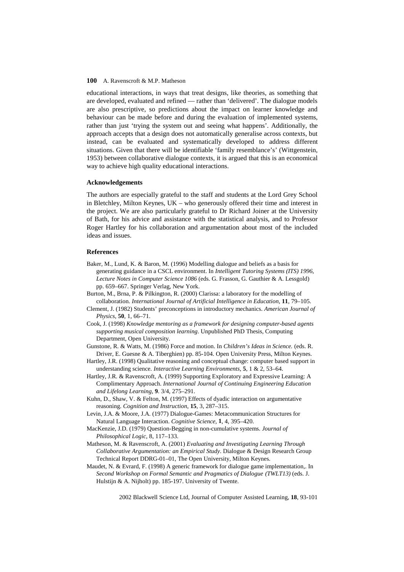educational interactions, in ways that treat designs, like theories, as something that are developed, evaluated and refined — rather than 'delivered'. The dialogue models are also prescriptive, so predictions about the impact on learner knowledge and behaviour can be made before and during the evaluation of implemented systems, rather than just 'trying the system out and seeing what happens'. Additionally, the approach accepts that a design does not automatically generalise across contexts, but instead, can be evaluated and systematically developed to address different situations. Given that there will be identifiable 'family resemblance's' (Wittgenstein, 1953) between collaborative dialogue contexts, it is argued that this is an economical way to achieve high quality educational interactions.

## **Acknowledgements**

The authors are especially grateful to the staff and students at the Lord Grey School in Bletchley, Milton Keynes, UK – who generously offered their time and interest in the project. We are also particularly grateful to Dr Richard Joiner at the University of Bath, for his advice and assistance with the statistical analysis, and to Professor Roger Hartley for his collaboration and argumentation about most of the included ideas and issues.

# **References**

- Baker, M., Lund, K. & Baron, M. (1996) Modelling dialogue and beliefs as a basis for generating guidance in a CSCL environment. In *Intelligent Tutoring Systems (ITS) 1996*, *Lecture Notes in Computer Science 1086* (eds. G. Frasson, G. Gauthier & A. Lessgold) pp. 659–667. Springer Verlag, New York.
- Burton, M., Brna, P. & Pilkington, R. (2000) Clarissa: a laboratory for the modelling of collaboration. *International Journal of Artificial Intelligence in Education*, **11**, 79–105.
- Clement, J. (1982) Students' preconceptions in introductory mechanics. *American Journal of Physics*, **50**, 1, 66–71.
- Cook, J. (1998) *Knowledge mentoring as a framework for designing computer-based agents supporting musical composition learning*. Unpublished PhD Thesis, Computing Department, Open University.
- Gunstone, R. & Watts, M. (1986) Force and motion. In *Children's Ideas in Science.* (eds. R. Driver, E. Guesne & A. Tiberghien) pp. 85-104. Open University Press, Milton Keynes.
- Hartley, J.R. (1998) Qualitative reasoning and conceptual change: computer based support in understanding science. *Interactive Learning Environments,* **5**, 1 & 2, 53–64.
- Hartley, J.R. & Ravenscroft, A. (1999) Supporting Exploratory and Expressive Learning: A Complimentary Approach. *International Journal of Continuing Engineering Education and Lifelong Learning*, **9**. 3/4, 275–291.
- Kuhn, D., Shaw, V. & Felton, M. (1997) Effects of dyadic interaction on argumentative reasoning. *Cognition and Instruction*, **15**, 3, 287–315.
- Levin, J.A. & Moore, J.A. (1977) Dialogue-Games: Metacommunication Structures for Natural Language Interaction. *Cognitive Science*, **1**, 4, 395–420.
- MacKenzie, J.D. (1979) Question-Begging in non-cumulative systems. *Journal of Philosophical Logic*, 8, 117–133.
- Matheson, M. & Ravenscroft, A. (2001) *Evaluating and Investigating Learning Through Collaborative Argumentation: an Empirical Study*. Dialogue & Design Research Group Technical Report DDRG-01–01, The Open University, Milton Keynes.
- Maudet, N. & Evrard, F. (1998) A generic framework for dialogue game implementation,. In *Second Workshop on Formal Semantic and Pragmatics of Dialogue (TWLT13)* (eds. J. Hulstijn & A. Nijholt) pp. 185-197. University of Twente.